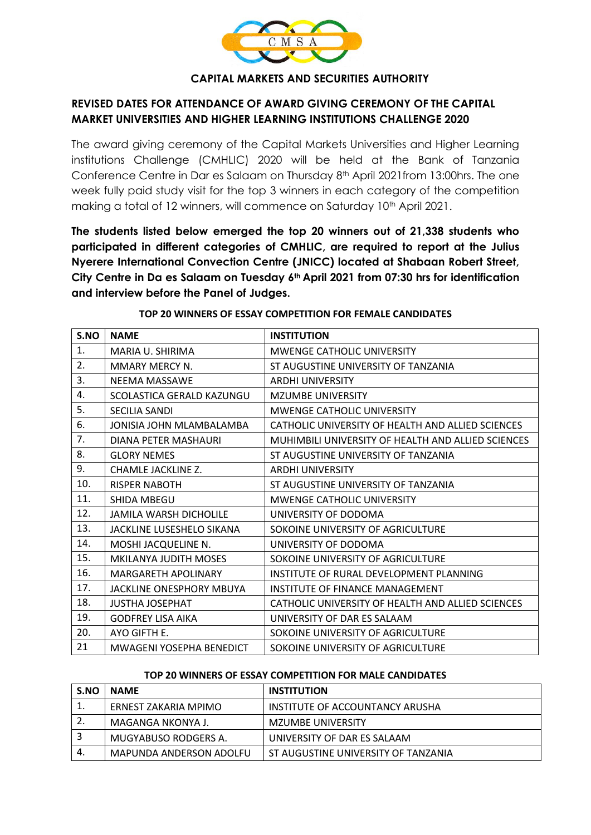

### **CAPITAL MARKETS AND SECURITIES AUTHORITY**

# **REVISED DATES FOR ATTENDANCE OF AWARD GIVING CEREMONY OF THE CAPITAL MARKET UNIVERSITIES AND HIGHER LEARNING INSTITUTIONS CHALLENGE 2020**

The award giving ceremony of the Capital Markets Universities and Higher Learning institutions Challenge (CMHLIC) 2020 will be held at the Bank of Tanzania Conference Centre in Dar es Salaam on Thursday 8th April 2021from 13:00hrs. The one week fully paid study visit for the top 3 winners in each category of the competition making a total of 12 winners, will commence on Saturday 10<sup>th</sup> April 2021.

**The students listed below emerged the top 20 winners out of 21,338 students who participated in different categories of CMHLIC, are required to report at the Julius Nyerere International Convection Centre (JNICC) located at Shabaan Robert Street, City Centre in Da es Salaam on Tuesday 6th April 2021 from 07:30 hrs for identification and interview before the Panel of Judges.**

| S.NO | <b>NAME</b>                   | <b>INSTITUTION</b>                                 |
|------|-------------------------------|----------------------------------------------------|
| 1.   | MARIA U. SHIRIMA              | <b>MWENGE CATHOLIC UNIVERSITY</b>                  |
| 2.   | MMARY MERCY N.                | ST AUGUSTINE UNIVERSITY OF TANZANIA                |
| 3.   | NEEMA MASSAWE                 | <b>ARDHI UNIVERSITY</b>                            |
| 4.   | SCOLASTICA GERALD KAZUNGU     | <b>MZUMBE UNIVERSITY</b>                           |
| 5.   | <b>SECILIA SANDI</b>          | MWENGE CATHOLIC UNIVERSITY                         |
| 6.   | JONISIA JOHN MLAMBALAMBA      | CATHOLIC UNIVERSITY OF HEALTH AND ALLIED SCIENCES  |
| 7.   | DIANA PETER MASHAURI          | MUHIMBILI UNIVERSITY OF HEALTH AND ALLIED SCIENCES |
| 8.   | <b>GLORY NEMES</b>            | ST AUGUSTINE UNIVERSITY OF TANZANIA                |
| 9.   | CHAMLE JACKLINE Z.            | <b>ARDHI UNIVERSITY</b>                            |
| 10.  | <b>RISPER NABOTH</b>          | ST AUGUSTINE UNIVERSITY OF TANZANIA                |
| 11.  | <b>SHIDA MBEGU</b>            | <b>MWENGE CATHOLIC UNIVERSITY</b>                  |
| 12.  | <b>JAMILA WARSH DICHOLILE</b> | UNIVERSITY OF DODOMA                               |
| 13.  | JACKLINE LUSESHELO SIKANA     | SOKOINE UNIVERSITY OF AGRICULTURE                  |
| 14.  | MOSHI JACQUELINE N.           | UNIVERSITY OF DODOMA                               |
| 15.  | <b>MKILANYA JUDITH MOSES</b>  | SOKOINE UNIVERSITY OF AGRICULTURE                  |
| 16.  | MARGARETH APOLINARY           | INSTITUTE OF RURAL DEVELOPMENT PLANNING            |
| 17.  | JACKLINE ONESPHORY MBUYA      | INSTITUTE OF FINANCE MANAGEMENT                    |
| 18.  | <b>JUSTHA JOSEPHAT</b>        | CATHOLIC UNIVERSITY OF HEALTH AND ALLIED SCIENCES  |
| 19.  | <b>GODFREY LISA AIKA</b>      | UNIVERSITY OF DAR ES SALAAM                        |
| 20.  | AYO GIFTH E.                  | SOKOINE UNIVERSITY OF AGRICULTURE                  |
| 21   | MWAGENI YOSEPHA BENEDICT      | SOKOINE UNIVERSITY OF AGRICULTURE                  |

#### **TOP 20 WINNERS OF ESSAY COMPETITION FOR FEMALE CANDIDATES**

#### **TOP 20 WINNERS OF ESSAY COMPETITION FOR MALE CANDIDATES**

| S.NO | <b>NAME</b>             | <b>INSTITUTION</b>                  |
|------|-------------------------|-------------------------------------|
| ᅩ    | ERNEST ZAKARIA MPIMO    | INSTITUTE OF ACCOUNTANCY ARUSHA     |
|      | MAGANGA NKONYA J.       | MZUMBE UNIVERSITY                   |
|      | MUGYABUSO RODGERS A.    | UNIVERSITY OF DAR ES SALAAM         |
| 4.   | MAPUNDA ANDERSON ADOLFU | ST AUGUSTINE UNIVERSITY OF TANZANIA |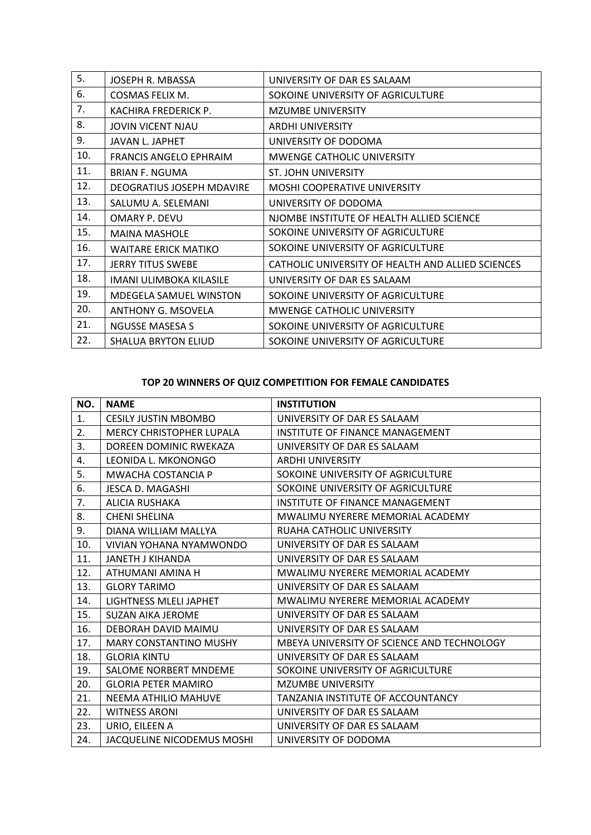| 5.  | JOSEPH R. MBASSA              | UNIVERSITY OF DAR ES SALAAM                       |
|-----|-------------------------------|---------------------------------------------------|
| 6.  | COSMAS FELIX M.               | SOKOINE UNIVERSITY OF AGRICULTURE                 |
| 7.  | KACHIRA FREDERICK P.          | <b>MZUMBE UNIVERSITY</b>                          |
| 8.  | <b>JOVIN VICENT NJAU</b>      | <b>ARDHI UNIVERSITY</b>                           |
| 9.  | JAVAN L. JAPHET               | UNIVERSITY OF DODOMA                              |
| 10. | <b>FRANCIS ANGELO EPHRAIM</b> | MWENGE CATHOLIC UNIVERSITY                        |
| 11. | <b>BRIAN F. NGUMA</b>         | <b>ST. JOHN UNIVERSITY</b>                        |
| 12. | DEOGRATIUS JOSEPH MDAVIRE     | <b>MOSHI COOPERATIVE UNIVERSITY</b>               |
| 13. | SALUMU A. SELEMANI            | UNIVERSITY OF DODOMA                              |
| 14. | OMARY P. DEVU                 | NJOMBE INSTITUTE OF HEALTH ALLIED SCIENCE         |
| 15. | <b>MAINA MASHOLE</b>          | SOKOINE UNIVERSITY OF AGRICULTURE                 |
| 16. | <b>WAITARE ERICK MATIKO</b>   | SOKOINE UNIVERSITY OF AGRICULTURE                 |
| 17. | <b>JERRY TITUS SWEBE</b>      | CATHOLIC UNIVERSITY OF HEALTH AND ALLIED SCIENCES |
| 18. | IMANI ULIMBOKA KILASILE       | UNIVERSITY OF DAR ES SALAAM                       |
| 19. | <b>MDEGELA SAMUEL WINSTON</b> | SOKOINE UNIVERSITY OF AGRICULTURE                 |
| 20. | <b>ANTHONY G. MSOVELA</b>     | <b>MWENGE CATHOLIC UNIVERSITY</b>                 |
| 21. | NGUSSE MASESA S               | SOKOINE UNIVERSITY OF AGRICULTURE                 |
| 22. | <b>SHALUA BRYTON ELIUD</b>    | SOKOINE UNIVERSITY OF AGRICULTURE                 |

## **TOP 20 WINNERS OF QUIZ COMPETITION FOR FEMALE CANDIDATES**

| NO. | <b>NAME</b>                       | <b>INSTITUTION</b>                         |
|-----|-----------------------------------|--------------------------------------------|
| 1.  | <b>CESILY JUSTIN MBOMBO</b>       | UNIVERSITY OF DAR ES SALAAM                |
| 2.  | <b>MERCY CHRISTOPHER LUPALA</b>   | INSTITUTE OF FINANCE MANAGEMENT            |
| 3.  | DOREEN DOMINIC RWEKAZA            | UNIVERSITY OF DAR ES SALAAM                |
| 4.  | LEONIDA L. MKONONGO               | <b>ARDHI UNIVERSITY</b>                    |
| 5.  | MWACHA COSTANCIA P                | SOKOINE UNIVERSITY OF AGRICULTURE          |
| 6.  | <b>JESCA D. MAGASHI</b>           | SOKOINE UNIVERSITY OF AGRICULTURE          |
| 7.  | <b>ALICIA RUSHAKA</b>             | INSTITUTE OF FINANCE MANAGEMENT            |
| 8.  | <b>CHENI SHELINA</b>              | MWALIMU NYERERE MEMORIAL ACADEMY           |
| 9.  | DIANA WILLIAM MALLYA              | RUAHA CATHOLIC UNIVERSITY                  |
| 10. | VIVIAN YOHANA NYAMWONDO           | UNIVERSITY OF DAR ES SALAAM                |
| 11. | <b>JANETH J KIHANDA</b>           | UNIVERSITY OF DAR ES SALAAM                |
| 12. | ATHUMANI AMINA H                  | MWALIMU NYERERE MEMORIAL ACADEMY           |
| 13. | <b>GLORY TARIMO</b>               | UNIVERSITY OF DAR ES SALAAM                |
| 14. | LIGHTNESS MLELI JAPHET            | MWALIMU NYERERE MEMORIAL ACADEMY           |
| 15. | <b>SUZAN AIKA JEROME</b>          | UNIVERSITY OF DAR ES SALAAM                |
| 16. | DEBORAH DAVID MAIMU               | UNIVERSITY OF DAR ES SALAAM                |
| 17. | <b>MARY CONSTANTINO MUSHY</b>     | MBEYA UNIVERSITY OF SCIENCE AND TECHNOLOGY |
| 18. | <b>GLORIA KINTU</b>               | UNIVERSITY OF DAR ES SALAAM                |
| 19. | SALOME NORBERT MNDEME             | SOKOINE UNIVERSITY OF AGRICULTURE          |
| 20. | <b>GLORIA PETER MAMIRO</b>        | <b>MZUMBE UNIVERSITY</b>                   |
| 21. | <b>NEEMA ATHILIO MAHUVE</b>       | TANZANIA INSTITUTE OF ACCOUNTANCY          |
| 22. | <b>WITNESS ARONI</b>              | UNIVERSITY OF DAR ES SALAAM                |
| 23. | URIO, EILEEN A                    | UNIVERSITY OF DAR ES SALAAM                |
| 24. | <b>JACQUELINE NICODEMUS MOSHI</b> | UNIVERSITY OF DODOMA                       |